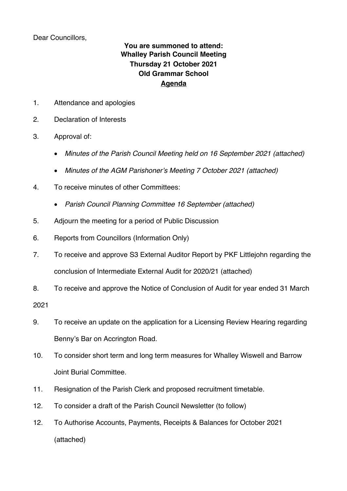Dear Councillors,

## **You are summoned to attend: Whalley Parish Council Meeting Thursday 21 October 2021 Old Grammar School Agenda**

- 1. Attendance and apologies
- 2. Declaration of Interests
- 3. Approval of:
	- *Minutes of the Parish Council Meeting held on 16 September 2021 (attached)*
	- *Minutes of the AGM Parishoner's Meeting 7 October 2021 (attached)*
- 4. To receive minutes of other Committees:
	- *Parish Council Planning Committee 16 September (attached)*
- 5. Adjourn the meeting for a period of Public Discussion
- 6. Reports from Councillors (Information Only)
- 7. To receive and approve S3 External Auditor Report by PKF Littlejohn regarding the conclusion of Intermediate External Audit for 2020/21 (attached)
- 8. To receive and approve the Notice of Conclusion of Audit for year ended 31 March

2021

- 9. To receive an update on the application for a Licensing Review Hearing regarding Benny's Bar on Accrington Road.
- 10. To consider short term and long term measures for Whalley Wiswell and Barrow Joint Burial Committee.
- 11. Resignation of the Parish Clerk and proposed recruitment timetable.
- 12. To consider a draft of the Parish Council Newsletter (to follow)
- 12. To Authorise Accounts, Payments, Receipts & Balances for October 2021 (attached)